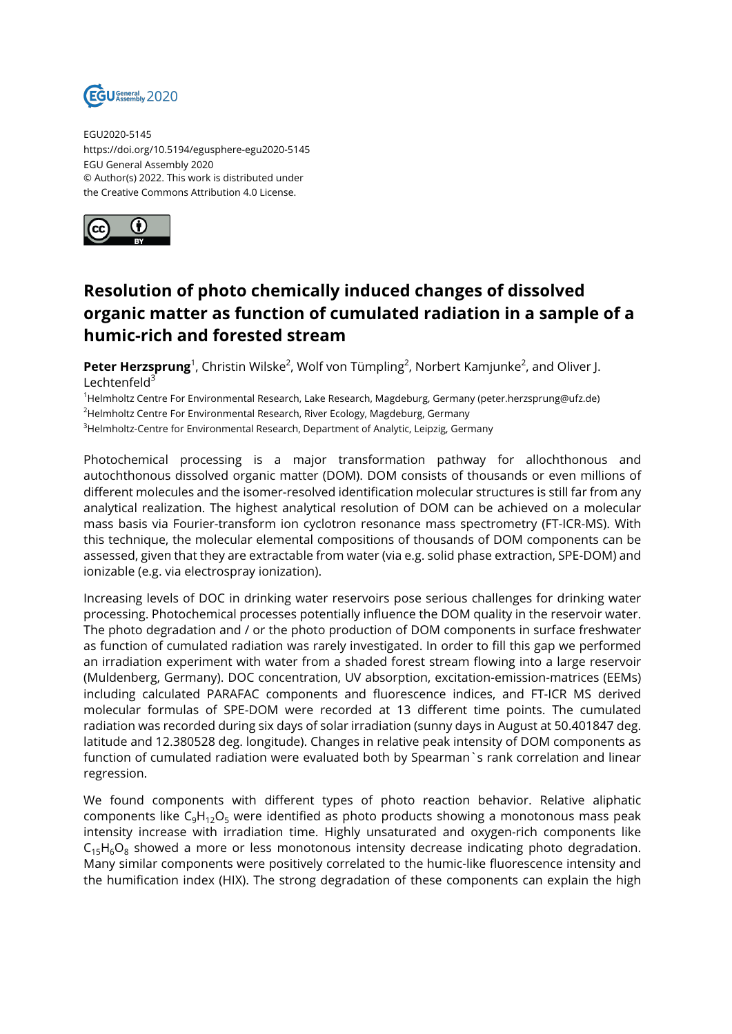

EGU2020-5145 https://doi.org/10.5194/egusphere-egu2020-5145 EGU General Assembly 2020 © Author(s) 2022. This work is distributed under the Creative Commons Attribution 4.0 License.



## **Resolution of photo chemically induced changes of dissolved organic matter as function of cumulated radiation in a sample of a humic-rich and forested stream**

**Peter Herzsprung**<sup>1</sup>, Christin Wilske<sup>2</sup>, Wolf von Tümpling<sup>2</sup>, Norbert Kamjunke<sup>2</sup>, and Oliver J. Lechtenfeld $3$ 

<sup>1</sup>Helmholtz Centre For Environmental Research, Lake Research, Magdeburg, Germany (peter.herzsprung@ufz.de)

<sup>2</sup>Helmholtz Centre For Environmental Research, River Ecology, Magdeburg, Germany

<sup>3</sup>Helmholtz-Centre for Environmental Research, Department of Analytic, Leipzig, Germany

Photochemical processing is a major transformation pathway for allochthonous and autochthonous dissolved organic matter (DOM). DOM consists of thousands or even millions of different molecules and the isomer-resolved identification molecular structures is still far from any analytical realization. The highest analytical resolution of DOM can be achieved on a molecular mass basis via Fourier-transform ion cyclotron resonance mass spectrometry (FT-ICR-MS). With this technique, the molecular elemental compositions of thousands of DOM components can be assessed, given that they are extractable from water (via e.g. solid phase extraction, SPE-DOM) and ionizable (e.g. via electrospray ionization).

Increasing levels of DOC in drinking water reservoirs pose serious challenges for drinking water processing. Photochemical processes potentially influence the DOM quality in the reservoir water. The photo degradation and / or the photo production of DOM components in surface freshwater as function of cumulated radiation was rarely investigated. In order to fill this gap we performed an irradiation experiment with water from a shaded forest stream flowing into a large reservoir (Muldenberg, Germany). DOC concentration, UV absorption, excitation-emission-matrices (EEMs) including calculated PARAFAC components and fluorescence indices, and FT-ICR MS derived molecular formulas of SPE-DOM were recorded at 13 different time points. The cumulated radiation was recorded during six days of solar irradiation (sunny days in August at 50.401847 deg. latitude and 12.380528 deg. longitude). Changes in relative peak intensity of DOM components as function of cumulated radiation were evaluated both by Spearman`s rank correlation and linear regression.

We found components with different types of photo reaction behavior. Relative aliphatic components like  $C_6H_{12}O_5$  were identified as photo products showing a monotonous mass peak intensity increase with irradiation time. Highly unsaturated and oxygen-rich components like  $C_{15}H_6O_8$  showed a more or less monotonous intensity decrease indicating photo degradation. Many similar components were positively correlated to the humic-like fluorescence intensity and the humification index (HIX). The strong degradation of these components can explain the high